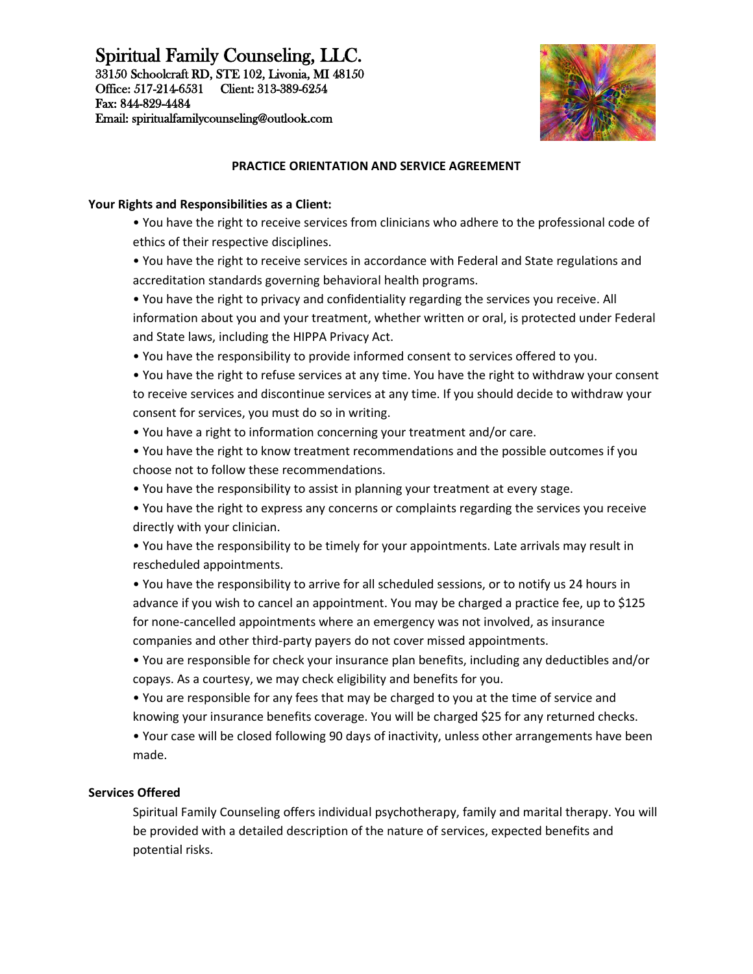# Spiritual Family Counseling, LLC.

33150 Schoolcraft RD, STE 102, Livonia, MI 48150 Office: 517-214-6531 Client: 313-389-6254 Fax: 844-829-4484 Email: spiritualfamilycounseling@outlook.com



## **PRACTICE ORIENTATION AND SERVICE AGREEMENT**

#### **Your Rights and Responsibilities as a Client:**

- You have the right to receive services from clinicians who adhere to the professional code of ethics of their respective disciplines.
- You have the right to receive services in accordance with Federal and State regulations and accreditation standards governing behavioral health programs.
- You have the right to privacy and confidentiality regarding the services you receive. All information about you and your treatment, whether written or oral, is protected under Federal and State laws, including the HIPPA Privacy Act.
- You have the responsibility to provide informed consent to services offered to you.
- You have the right to refuse services at any time. You have the right to withdraw your consent to receive services and discontinue services at any time. If you should decide to withdraw your consent for services, you must do so in writing.
- You have a right to information concerning your treatment and/or care.
- You have the right to know treatment recommendations and the possible outcomes if you choose not to follow these recommendations.
- You have the responsibility to assist in planning your treatment at every stage.
- You have the right to express any concerns or complaints regarding the services you receive directly with your clinician.
- You have the responsibility to be timely for your appointments. Late arrivals may result in rescheduled appointments.
- You have the responsibility to arrive for all scheduled sessions, or to notify us 24 hours in advance if you wish to cancel an appointment. You may be charged a practice fee, up to \$125 for none-cancelled appointments where an emergency was not involved, as insurance companies and other third-party payers do not cover missed appointments.
- You are responsible for check your insurance plan benefits, including any deductibles and/or copays. As a courtesy, we may check eligibility and benefits for you.
- You are responsible for any fees that may be charged to you at the time of service and knowing your insurance benefits coverage. You will be charged \$25 for any returned checks.
- Your case will be closed following 90 days of inactivity, unless other arrangements have been made.

### **Services Offered**

Spiritual Family Counseling offers individual psychotherapy, family and marital therapy. You will be provided with a detailed description of the nature of services, expected benefits and potential risks.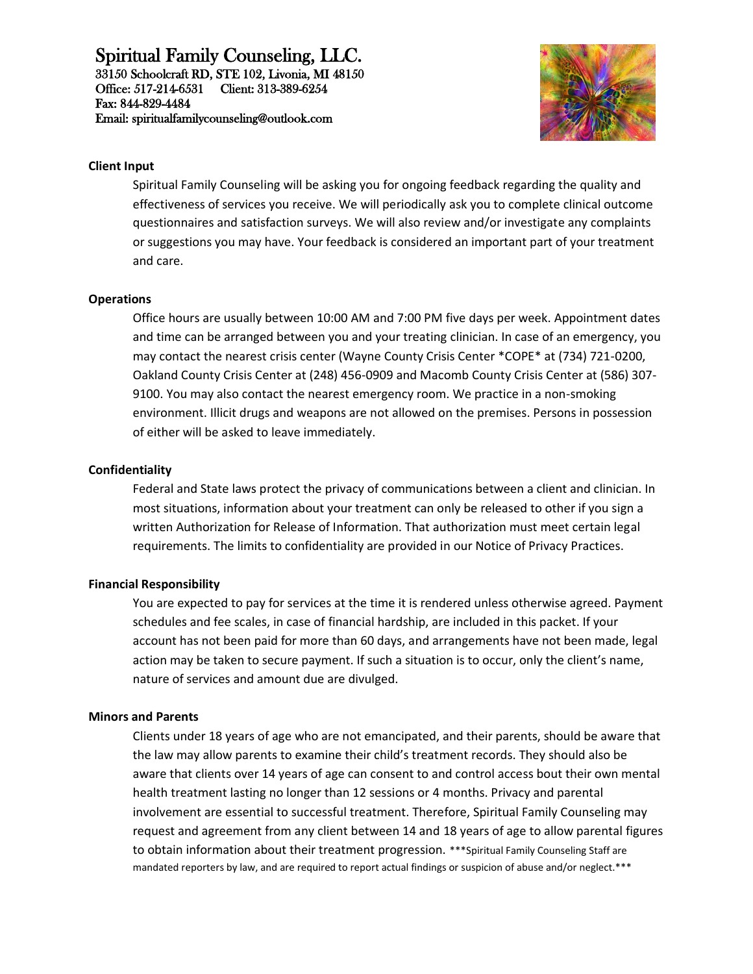# Spiritual Family Counseling, LLC.

33150 Schoolcraft RD, STE 102, Livonia, MI 48150 Office: 517-214-6531 Client: 313-389-6254 Fax: 844-829-4484 Email: spiritualfamilycounseling@outlook.com



#### **Client Input**

Spiritual Family Counseling will be asking you for ongoing feedback regarding the quality and effectiveness of services you receive. We will periodically ask you to complete clinical outcome questionnaires and satisfaction surveys. We will also review and/or investigate any complaints or suggestions you may have. Your feedback is considered an important part of your treatment and care.

#### **Operations**

Office hours are usually between 10:00 AM and 7:00 PM five days per week. Appointment dates and time can be arranged between you and your treating clinician. In case of an emergency, you may contact the nearest crisis center (Wayne County Crisis Center \*COPE\* at (734) 721-0200, Oakland County Crisis Center at (248) 456-0909 and Macomb County Crisis Center at (586) 307- 9100. You may also contact the nearest emergency room. We practice in a non-smoking environment. Illicit drugs and weapons are not allowed on the premises. Persons in possession of either will be asked to leave immediately.

#### **Confidentiality**

Federal and State laws protect the privacy of communications between a client and clinician. In most situations, information about your treatment can only be released to other if you sign a written Authorization for Release of Information. That authorization must meet certain legal requirements. The limits to confidentiality are provided in our Notice of Privacy Practices.

### **Financial Responsibility**

You are expected to pay for services at the time it is rendered unless otherwise agreed. Payment schedules and fee scales, in case of financial hardship, are included in this packet. If your account has not been paid for more than 60 days, and arrangements have not been made, legal action may be taken to secure payment. If such a situation is to occur, only the client's name, nature of services and amount due are divulged.

#### **Minors and Parents**

Clients under 18 years of age who are not emancipated, and their parents, should be aware that the law may allow parents to examine their child's treatment records. They should also be aware that clients over 14 years of age can consent to and control access bout their own mental health treatment lasting no longer than 12 sessions or 4 months. Privacy and parental involvement are essential to successful treatment. Therefore, Spiritual Family Counseling may request and agreement from any client between 14 and 18 years of age to allow parental figures to obtain information about their treatment progression. \*\*\*Spiritual Family Counseling Staff are mandated reporters by law, and are required to report actual findings or suspicion of abuse and/or neglect.\*\*\*